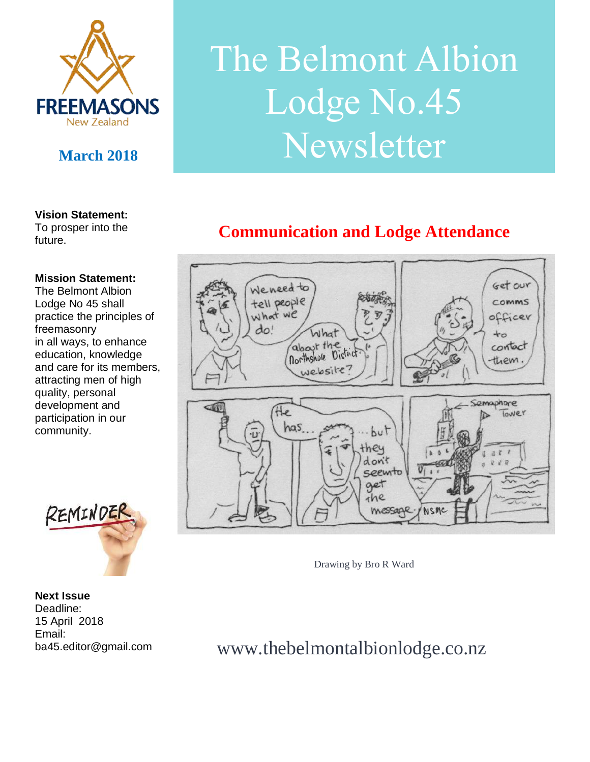

#### **Vision Statement:**

To prosper into the future.

#### **Mission Statement:**

The Belmont Albion Lodge No 45 shall practice the principles of freemasonry in all ways, to enhance education, knowledge and care for its members, attracting men of high quality, personal development and participation in our community.



**Next Issue**  Deadline: 15 April 2018 Email: ba45.editor@gmail.com

# The Belmont Albion Lodge No.45 March 2018 **Newsletter**

## **Communication and Lodge Attendance**



Drawing by Bro R Ward

www.thebelmontalbionlodge.co.nz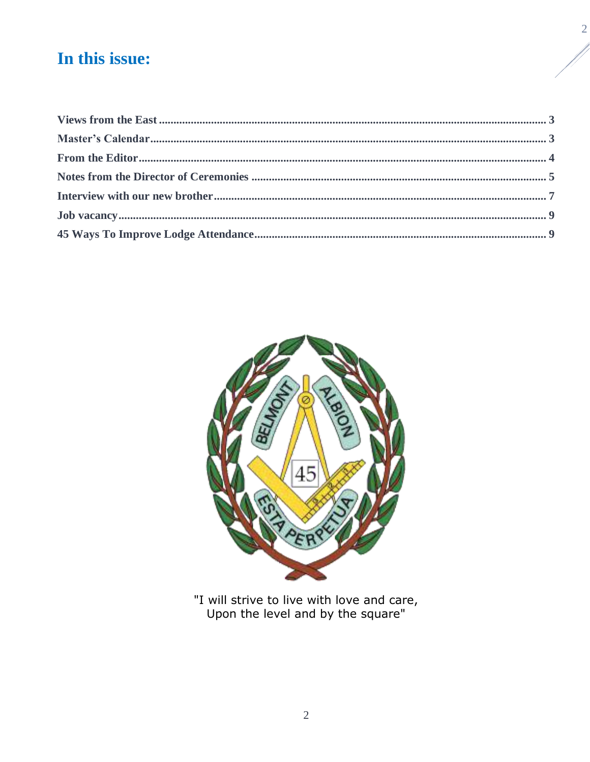## In this issue:



"I will strive to live with love and care,<br>Upon the level and by the square"

 $\overline{2}$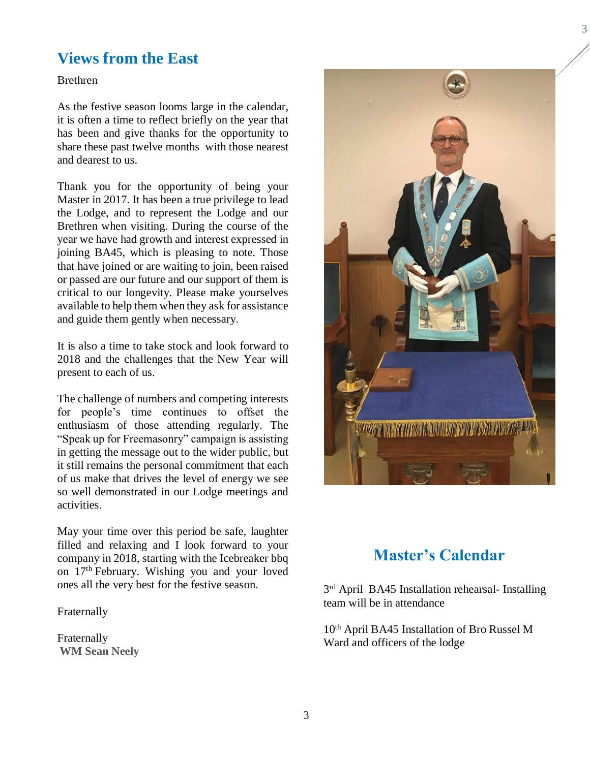### <span id="page-2-0"></span>**Views from the East**

Brethren

As the festive season looms large in the calendar, it is often a time to reflect briefly on the year that has been and give thanks for the opportunity to share these past twelve months with those nearest and dearest to us.

Thank you for the opportunity of being your Master in 2017. It has been a true privilege to lead the Lodge, and to represent the Lodge and our Brethren when visiting. During the course of the year we have had growth and interest expressed in joining BA45, which is pleasing to note. Those that have joined or are waiting to join, been raised or passed are our future and our support of them is critical to our longevity. Please make yourselves available to help them when they ask for assistance and guide them gently when necessary.

It is also a time to take stock and look forward to 2018 and the challenges that the New Year will present to each of us.

The challenge of numbers and competing interests for people's time continues to offset the enthusiasm of those attending regularly. The "Speak up for Freemasonry" campaign is assisting in getting the message out to the wider public, but it still remains the personal commitment that each of us make that drives the level of energy we see so well demonstrated in our Lodge meetings and activities.

May your time over this period be safe, laughter filled and relaxing and I look forward to your company in 2018, starting with the Icebreaker bbq on 17th February. Wishing you and your loved ones all the very best for the festive season.

Fraternally

Fraternally **WM Sean Neely** 



## **Master's Calendar**

<span id="page-2-1"></span>3<sup>rd</sup> April BA45 Installation rehearsal- Installing team will be in attendance

10th April BA45 Installation of Bro Russel M Ward and officers of the lodge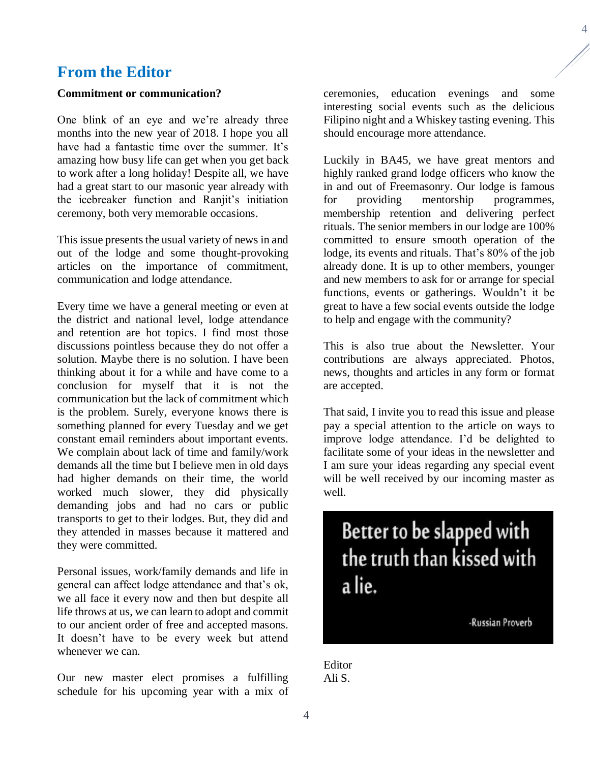#### <span id="page-3-0"></span>**From the Editor**

#### **Commitment or communication?**

One blink of an eye and we're already three months into the new year of 2018. I hope you all have had a fantastic time over the summer. It's amazing how busy life can get when you get back to work after a long holiday! Despite all, we have had a great start to our masonic year already with the icebreaker function and Ranjit's initiation ceremony, both very memorable occasions.

This issue presents the usual variety of news in and out of the lodge and some thought-provoking articles on the importance of commitment, communication and lodge attendance.

Every time we have a general meeting or even at the district and national level, lodge attendance and retention are hot topics. I find most those discussions pointless because they do not offer a solution. Maybe there is no solution. I have been thinking about it for a while and have come to a conclusion for myself that it is not the communication but the lack of commitment which is the problem. Surely, everyone knows there is something planned for every Tuesday and we get constant email reminders about important events. We complain about lack of time and family/work demands all the time but I believe men in old days had higher demands on their time, the world worked much slower, they did physically demanding jobs and had no cars or public transports to get to their lodges. But, they did and they attended in masses because it mattered and they were committed.

Personal issues, work/family demands and life in general can affect lodge attendance and that's ok, we all face it every now and then but despite all life throws at us, we can learn to adopt and commit to our ancient order of free and accepted masons. It doesn't have to be every week but attend whenever we can.

Our new master elect promises a fulfilling schedule for his upcoming year with a mix of

ceremonies, education evenings and some interesting social events such as the delicious Filipino night and a Whiskey tasting evening. This should encourage more attendance.

Luckily in BA45, we have great mentors and highly ranked grand lodge officers who know the in and out of Freemasonry. Our lodge is famous for providing mentorship programmes, membership retention and delivering perfect rituals. The senior members in our lodge are 100% committed to ensure smooth operation of the lodge, its events and rituals. That's 80% of the job already done. It is up to other members, younger and new members to ask for or arrange for special functions, events or gatherings. Wouldn't it be great to have a few social events outside the lodge to help and engage with the community?

This is also true about the Newsletter. Your contributions are always appreciated. Photos, news, thoughts and articles in any form or format are accepted.

That said, I invite you to read this issue and please pay a special attention to the article on ways to improve lodge attendance. I'd be delighted to facilitate some of your ideas in the newsletter and I am sure your ideas regarding any special event will be well received by our incoming master as well.

## Better to be slapped with the truth than kissed with a lie.

-Russian Proverb

Editor Ali S.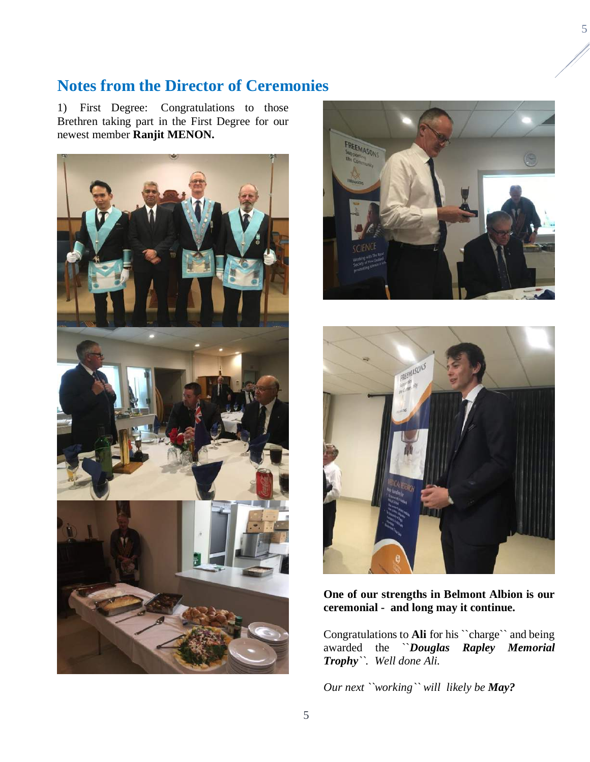## <span id="page-4-0"></span>**Notes from the Director of Ceremonies**

1) First Degree: Congratulations to those Brethren taking part in the First Degree for our newest member **Ranjit MENON.**







#### **One of our strengths in Belmont Albion is our ceremonial - and long may it continue.**

Congratulations to **Ali** for his ``charge`` and being awarded the ``*Douglas Rapley Memorial Trophy``. Well done Ali.*

*Our next ``working`` will likely be May?*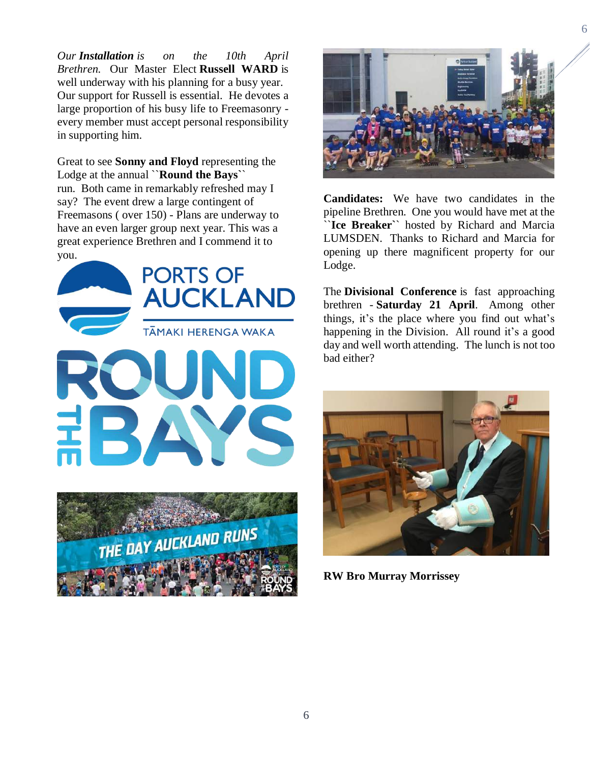*Our Installation is on the 10th April Brethren.* Our Master Elect **Russell WARD** is well underway with his planning for a busy year. Our support for Russell is essential. He devotes a large proportion of his busy life to Freemasonry every member must accept personal responsibility in supporting him.

Great to see **Sonny and Floyd** representing the Lodge at the annual ``**Round the Bays`**` run. Both came in remarkably refreshed may I say? The event drew a large contingent of Freemasons ( over 150) - Plans are underway to have an even larger group next year. This was a great experience Brethren and I commend it to you.





**Candidates:** We have two candidates in the pipeline Brethren. One you would have met at the ``**Ice Breaker`**` hosted by Richard and Marcia LUMSDEN. Thanks to Richard and Marcia for opening up there magnificent property for our Lodge.

The **Divisional Conference** is fast approaching brethren - **Saturday 21 April**. Among other things, it's the place where you find out what's happening in the Division. All round it's a good day and well worth attending. The lunch is not too bad either?



**RW Bro Murray Morrissey**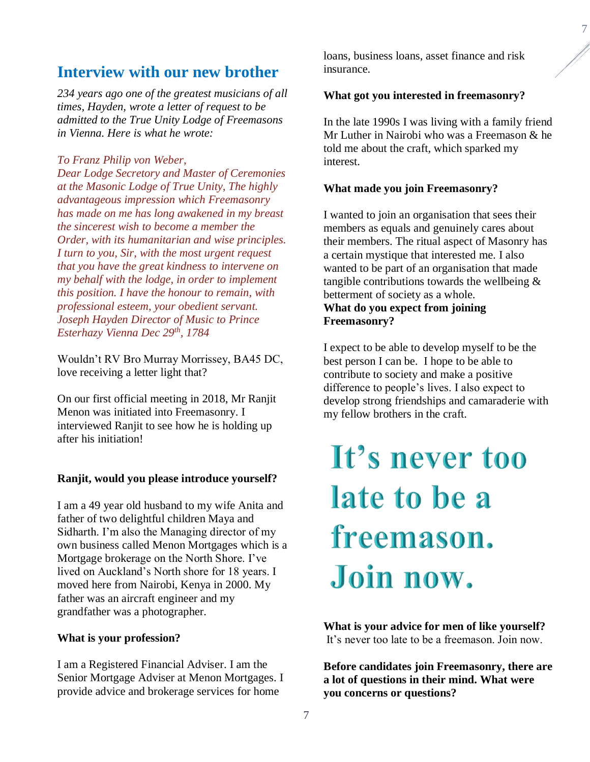#### <span id="page-6-0"></span>**Interview with our new brother**

*234 years ago one of the greatest musicians of all times, Hayden, wrote a letter of request to be admitted to the True Unity Lodge of Freemasons in Vienna. Here is what he wrote:*

#### *To Franz Philip von Weber,*

*Dear Lodge Secretory and Master of Ceremonies at the Masonic Lodge of True Unity, The highly advantageous impression which Freemasonry has made on me has long awakened in my breast the sincerest wish to become a member the Order, with its humanitarian and wise principles. I turn to you, Sir, with the most urgent request that you have the great kindness to intervene on my behalf with the lodge, in order to implement this position. I have the honour to remain, with professional esteem, your obedient servant. Joseph Hayden Director of Music to Prince Esterhazy Vienna Dec 29th, 1784* 

Wouldn't RV Bro Murray Morrissey, BA45 DC, love receiving a letter light that?

On our first official meeting in 2018, Mr Ranjit Menon was initiated into Freemasonry. I interviewed Ranjit to see how he is holding up after his initiation!

#### **Ranjit, would you please introduce yourself?**

I am a 49 year old husband to my wife Anita and father of two delightful children Maya and Sidharth. I'm also the Managing director of my own business called Menon Mortgages which is a Mortgage brokerage on the North Shore. I've lived on Auckland's North shore for 18 years. I moved here from Nairobi, Kenya in 2000. My father was an aircraft engineer and my grandfather was a photographer.

#### **What is your profession?**

I am a Registered Financial Adviser. I am the Senior Mortgage Adviser at Menon Mortgages. I provide advice and brokerage services for home

loans, business loans, asset finance and risk insurance.

#### **What got you interested in freemasonry?**

In the late 1990s I was living with a family friend Mr Luther in Nairobi who was a Freemason & he told me about the craft, which sparked my interest.

#### **What made you join Freemasonry?**

I wanted to join an organisation that sees their members as equals and genuinely cares about their members. The ritual aspect of Masonry has a certain mystique that interested me. I also wanted to be part of an organisation that made tangible contributions towards the wellbeing & betterment of society as a whole.

#### **What do you expect from joining Freemasonry?**

I expect to be able to develop myself to be the best person I can be. I hope to be able to contribute to society and make a positive difference to people's lives. I also expect to develop strong friendships and camaraderie with my fellow brothers in the craft.

## It's never too late to be a freemason. Join now.

**What is your advice for men of like yourself?** It's never too late to be a freemason. Join now.

**Before candidates join Freemasonry, there are a lot of questions in their mind. What were you concerns or questions?**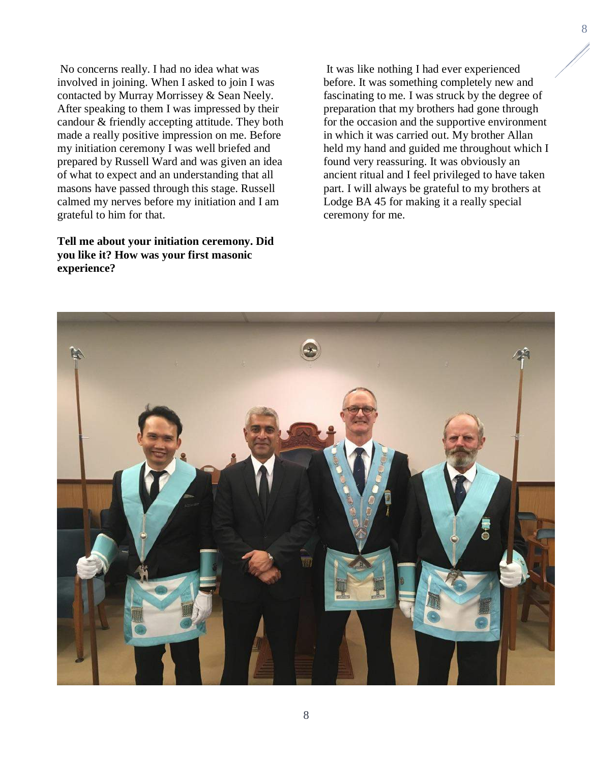No concerns really. I had no idea what was involved in joining. When I asked to join I was contacted by Murray Morrissey & Sean Neely. After speaking to them I was impressed by their candour & friendly accepting attitude. They both made a really positive impression on me. Before my initiation ceremony I was well briefed and prepared by Russell Ward and was given an idea of what to expect and an understanding that all masons have passed through this stage. Russell calmed my nerves before my initiation and I am grateful to him for that.

**Tell me about your initiation ceremony. Did you like it? How was your first masonic experience?**

It was like nothing I had ever experienced before. It was something completely new and fascinating to me. I was struck by the degree of preparation that my brothers had gone through for the occasion and the supportive environment in which it was carried out. My brother Allan held my hand and guided me throughout which I found very reassuring. It was obviously an ancient ritual and I feel privileged to have taken part. I will always be grateful to my brothers at Lodge BA 45 for making it a really special ceremony for me.

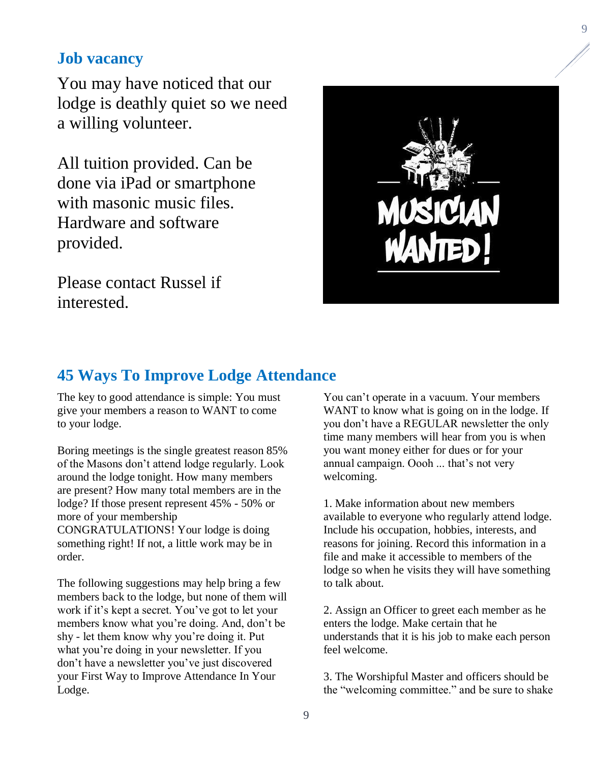#### <span id="page-8-0"></span>**Job vacancy**

You may have noticed that our lodge is deathly quiet so we need a willing volunteer.

All tuition provided. Can be done via iPad or smartphone with masonic music files. Hardware and software provided.

Please contact Russel if interested.



#### <span id="page-8-1"></span>**45 Ways To Improve Lodge Attendance**

The key to good attendance is simple: You must give your members a reason to WANT to come to your lodge.

Boring meetings is the single greatest reason 85% of the Masons don't attend lodge regularly. Look around the lodge tonight. How many members are present? How many total members are in the lodge? If those present represent 45% - 50% or more of your membership CONGRATULATIONS! Your lodge is doing something right! If not, a little work may be in order.

The following suggestions may help bring a few members back to the lodge, but none of them will work if it's kept a secret. You've got to let your members know what you're doing. And, don't be shy - let them know why you're doing it. Put what you're doing in your newsletter. If you don't have a newsletter you've just discovered your First Way to Improve Attendance In Your Lodge.

You can't operate in a vacuum. Your members WANT to know what is going on in the lodge. If you don't have a REGULAR newsletter the only time many members will hear from you is when you want money either for dues or for your annual campaign. Oooh ... that's not very welcoming.

1. Make information about new members available to everyone who regularly attend lodge. Include his occupation, hobbies, interests, and reasons for joining. Record this information in a file and make it accessible to members of the lodge so when he visits they will have something to talk about.

2. Assign an Officer to greet each member as he enters the lodge. Make certain that he understands that it is his job to make each person feel welcome.

3. The Worshipful Master and officers should be the "welcoming committee." and be sure to shake 9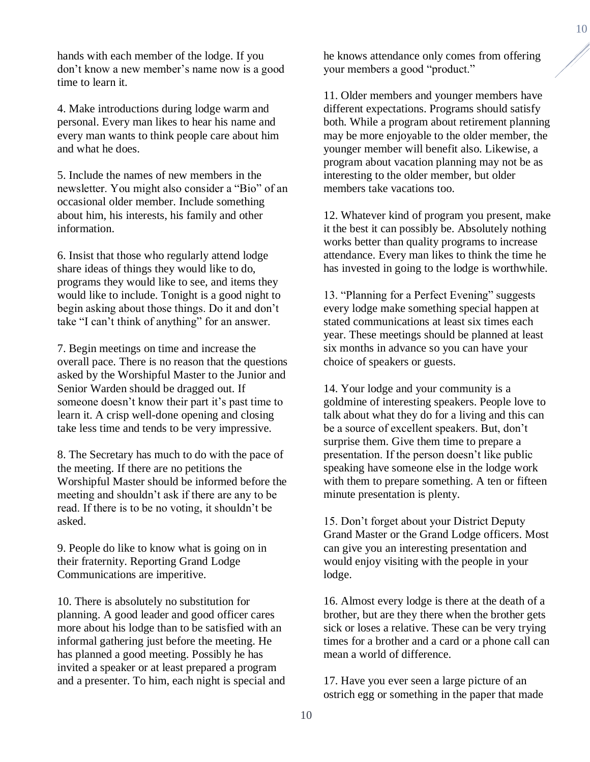hands with each member of the lodge. If you don't know a new member's name now is a good time to learn it.

4. Make introductions during lodge warm and personal. Every man likes to hear his name and every man wants to think people care about him and what he does.

5. Include the names of new members in the newsletter. You might also consider a "Bio" of an occasional older member. Include something about him, his interests, his family and other information.

6. Insist that those who regularly attend lodge share ideas of things they would like to do, programs they would like to see, and items they would like to include. Tonight is a good night to begin asking about those things. Do it and don't take "I can't think of anything" for an answer.

7. Begin meetings on time and increase the overall pace. There is no reason that the questions asked by the Worshipful Master to the Junior and Senior Warden should be dragged out. If someone doesn't know their part it's past time to learn it. A crisp well-done opening and closing take less time and tends to be very impressive.

8. The Secretary has much to do with the pace of the meeting. If there are no petitions the Worshipful Master should be informed before the meeting and shouldn't ask if there are any to be read. If there is to be no voting, it shouldn't be asked.

9. People do like to know what is going on in their fraternity. Reporting Grand Lodge Communications are imperitive.

10. There is absolutely no substitution for planning. A good leader and good officer cares more about his lodge than to be satisfied with an informal gathering just before the meeting. He has planned a good meeting. Possibly he has invited a speaker or at least prepared a program and a presenter. To him, each night is special and he knows attendance only comes from offering your members a good "product."

11. Older members and younger members have different expectations. Programs should satisfy both. While a program about retirement planning may be more enjoyable to the older member, the younger member will benefit also. Likewise, a program about vacation planning may not be as interesting to the older member, but older members take vacations too.

12. Whatever kind of program you present, make it the best it can possibly be. Absolutely nothing works better than quality programs to increase attendance. Every man likes to think the time he has invested in going to the lodge is worthwhile.

13. "Planning for a Perfect Evening" suggests every lodge make something special happen at stated communications at least six times each year. These meetings should be planned at least six months in advance so you can have your choice of speakers or guests.

14. Your lodge and your community is a goldmine of interesting speakers. People love to talk about what they do for a living and this can be a source of excellent speakers. But, don't surprise them. Give them time to prepare a presentation. If the person doesn't like public speaking have someone else in the lodge work with them to prepare something. A ten or fifteen minute presentation is plenty.

15. Don't forget about your District Deputy Grand Master or the Grand Lodge officers. Most can give you an interesting presentation and would enjoy visiting with the people in your lodge.

16. Almost every lodge is there at the death of a brother, but are they there when the brother gets sick or loses a relative. These can be very trying times for a brother and a card or a phone call can mean a world of difference.

17. Have you ever seen a large picture of an ostrich egg or something in the paper that made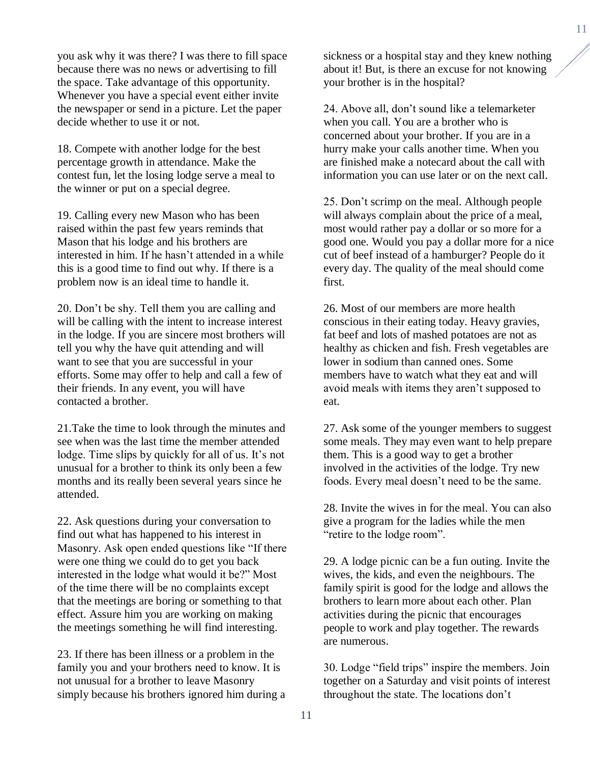you ask why it was there? I was there to fill space because there was no news or advertising to fill the space. Take advantage of this opportunity. Whenever you have a special event either invite the newspaper or send in a picture. Let the paper decide whether to use it or not.

18. Compete with another lodge for the best percentage growth in attendance. Make the contest fun, let the losing lodge serve a meal to the winner or put on a special degree.

19. Calling every new Mason who has been raised within the past few years reminds that Mason that his lodge and his brothers are interested in him. If he hasn't attended in a while this is a good time to find out why. If there is a problem now is an ideal time to handle it.

20. Don't be shy. Tell them you are calling and will be calling with the intent to increase interest in the lodge. If you are sincere most brothers will tell you why the have quit attending and will want to see that you are successful in your efforts. Some may offer to help and call a few of their friends. In any event, you will have contacted a brother.

21.Take the time to look through the minutes and see when was the last time the member attended lodge. Time slips by quickly for all of us. It's not unusual for a brother to think its only been a few months and its really been several years since he attended.

22. Ask questions during your conversation to find out what has happened to his interest in Masonry. Ask open ended questions like "If there were one thing we could do to get you back interested in the lodge what would it be?" Most of the time there will be no complaints except that the meetings are boring or something to that effect. Assure him you are working on making the meetings something he will find interesting.

23. If there has been illness or a problem in the family you and your brothers need to know. It is not unusual for a brother to leave Masonry simply because his brothers ignored him during a sickness or a hospital stay and they knew nothing about it! But, is there an excuse for not knowing your brother is in the hospital?

24. Above all, don't sound like a telemarketer when you call. You are a brother who is concerned about your brother. If you are in a hurry make your calls another time. When you are finished make a notecard about the call with information you can use later or on the next call.

25. Don't scrimp on the meal. Although people will always complain about the price of a meal, most would rather pay a dollar or so more for a good one. Would you pay a dollar more for a nice cut of beef instead of a hamburger? People do it every day. The quality of the meal should come first.

26. Most of our members are more health conscious in their eating today. Heavy gravies, fat beef and lots of mashed potatoes are not as healthy as chicken and fish. Fresh vegetables are lower in sodium than canned ones. Some members have to watch what they eat and will avoid meals with items they aren't supposed to eat.

27. Ask some of the younger members to suggest some meals. They may even want to help prepare them. This is a good way to get a brother involved in the activities of the lodge. Try new foods. Every meal doesn't need to be the same.

28. Invite the wives in for the meal. You can also give a program for the ladies while the men "retire to the lodge room".

29. A lodge picnic can be a fun outing. Invite the wives, the kids, and even the neighbours. The family spirit is good for the lodge and allows the brothers to learn more about each other. Plan activities during the picnic that encourages people to work and play together. The rewards are numerous.

30. Lodge "field trips" inspire the members. Join together on a Saturday and visit points of interest throughout the state. The locations don't